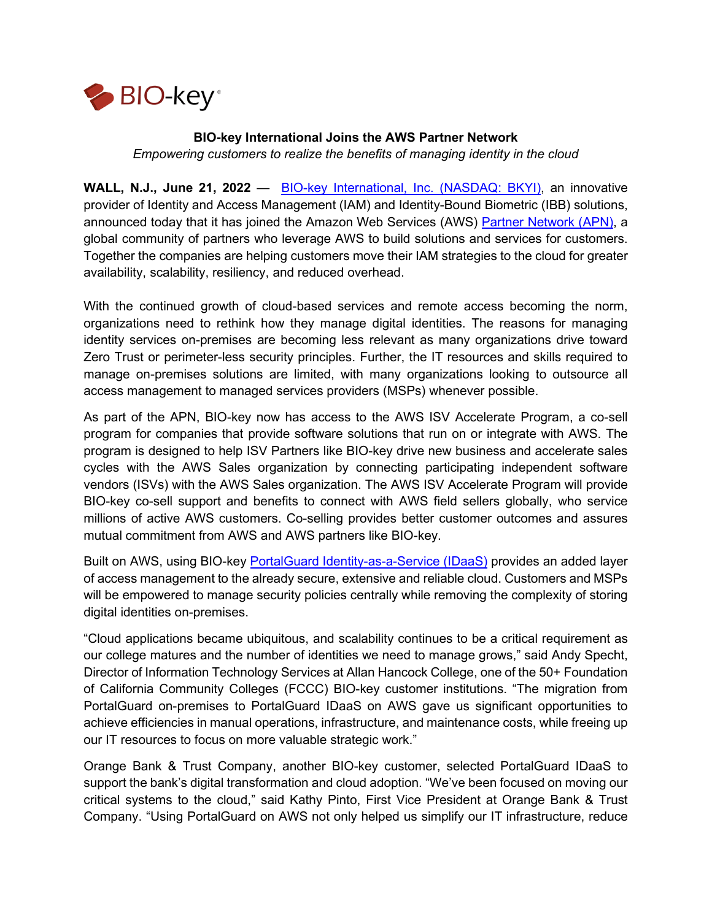

## **BIO-key International Joins the AWS Partner Network**

*Empowering customers to realize the benefits of managing identity in the cloud*

**WALL, N.J., June 21, 2022** — [BIO-key International, Inc. \(NASDAQ: BKYI\),](https://www.bio-key.com/) an innovative provider of Identity and Access Management (IAM) and Identity-Bound Biometric (IBB) solutions, announced today that it has joined the Amazon Web Services (AWS) [Partner Network \(APN\),](https://aws.amazon.com/partners/) a global community of partners who leverage AWS to build solutions and services for customers. Together the companies are helping customers move their IAM strategies to the cloud for greater availability, scalability, resiliency, and reduced overhead.

With the continued growth of cloud-based services and remote access becoming the norm, organizations need to rethink how they manage digital identities. The reasons for managing identity services on-premises are becoming less relevant as many organizations drive toward Zero Trust or perimeter-less security principles. Further, the IT resources and skills required to manage on-premises solutions are limited, with many organizations looking to outsource all access management to managed services providers (MSPs) whenever possible.

As part of the APN, BIO-key now has access to the AWS ISV Accelerate Program, a co-sell program for companies that provide software solutions that run on or integrate with AWS. The program is designed to help ISV Partners like BIO-key drive new business and accelerate sales cycles with the AWS Sales organization by connecting participating independent software vendors (ISVs) with the AWS Sales organization. The AWS ISV Accelerate Program will provide BIO-key co-sell support and benefits to connect with AWS field sellers globally, who service millions of active AWS customers. Co-selling provides better customer outcomes and assures mutual commitment from AWS and AWS partners like BIO-key.

Built on AWS, using BIO-key **PortalGuard Identity-as-a-Service (IDaaS)** provides an added layer of access management to the already secure, extensive and reliable cloud. Customers and MSPs will be empowered to manage security policies centrally while removing the complexity of storing digital identities on-premises.

"Cloud applications became ubiquitous, and scalability continues to be a critical requirement as our college matures and the number of identities we need to manage grows," said Andy Specht, Director of Information Technology Services at Allan Hancock College, one of the 50+ Foundation of California Community Colleges (FCCC) BIO-key customer institutions. "The migration from PortalGuard on-premises to PortalGuard IDaaS on AWS gave us significant opportunities to achieve efficiencies in manual operations, infrastructure, and maintenance costs, while freeing up our IT resources to focus on more valuable strategic work."

Orange Bank & Trust Company, another BIO-key customer, selected PortalGuard IDaaS to support the bank's digital transformation and cloud adoption. "We've been focused on moving our critical systems to the cloud," said Kathy Pinto, First Vice President at Orange Bank & Trust Company. "Using PortalGuard on AWS not only helped us simplify our IT infrastructure, reduce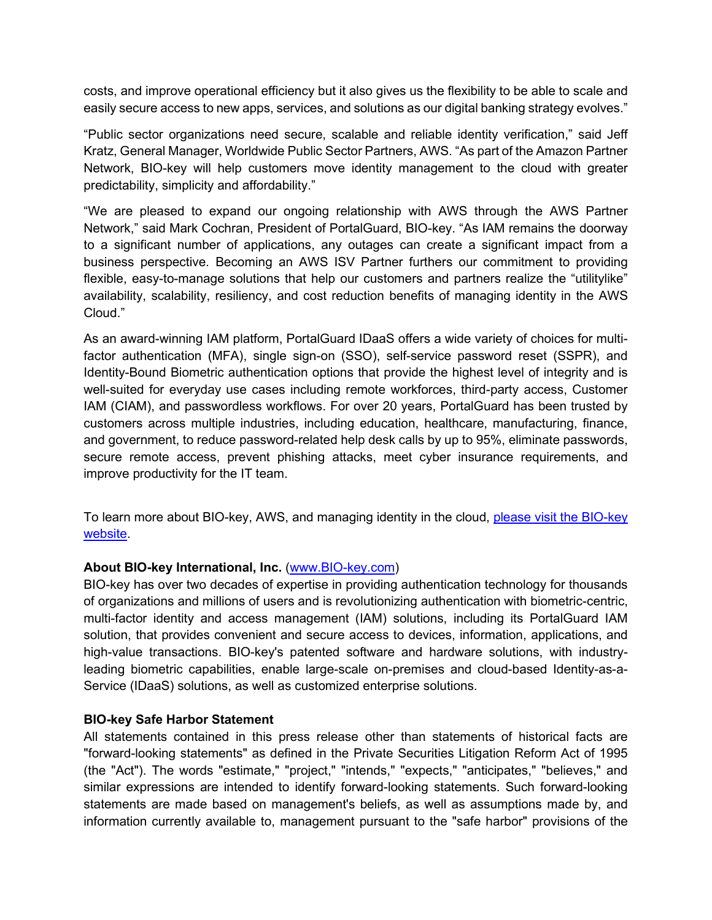costs, and improve operational efficiency but it also gives us the flexibility to be able to scale and easily secure access to new apps, services, and solutions as our digital banking strategy evolves."

"Public sector organizations need secure, scalable and reliable identity verification," said Jeff Kratz, General Manager, Worldwide Public Sector Partners, AWS. "As part of the Amazon Partner Network, BIO-key will help customers move identity management to the cloud with greater predictability, simplicity and affordability."

"We are pleased to expand our ongoing relationship with AWS through the AWS Partner Network," said Mark Cochran, President of PortalGuard, BIO-key. "As IAM remains the doorway to a significant number of applications, any outages can create a significant impact from a business perspective. Becoming an AWS ISV Partner furthers our commitment to providing flexible, easy-to-manage solutions that help our customers and partners realize the "utilitylike" availability, scalability, resiliency, and cost reduction benefits of managing identity in the AWS Cloud."

As an award-winning IAM platform, PortalGuard IDaaS offers a wide variety of choices for multifactor authentication (MFA), single sign-on (SSO), self-service password reset (SSPR), and Identity-Bound Biometric authentication options that provide the highest level of integrity and is well-suited for everyday use cases including remote workforces, third-party access, Customer IAM (CIAM), and passwordless workflows. For over 20 years, PortalGuard has been trusted by customers across multiple industries, including education, healthcare, manufacturing, finance, and government, to reduce password-related help desk calls by up to 95%, eliminate passwords, secure remote access, prevent phishing attacks, meet cyber insurance requirements, and improve productivity for the IT team.

To learn more about BIO-key, AWS, and managing identity in the cloud, please visit the BIO-key [website.](https://info.bio-key.com/aws)

## **About BIO-key International, Inc.** [\(www.BIO-key.com\)](https://www.bio-key.com/)

BIO-key has over two decades of expertise in providing authentication technology for thousands of organizations and millions of users and is revolutionizing authentication with biometric-centric, multi-factor identity and access management (IAM) solutions, including its PortalGuard IAM solution, that provides convenient and secure access to devices, information, applications, and high-value transactions. BIO-key's patented software and hardware solutions, with industryleading biometric capabilities, enable large-scale on-premises and cloud-based Identity-as-a-Service (IDaaS) solutions, as well as customized enterprise solutions.

## **BIO-key Safe Harbor Statement**

All statements contained in this press release other than statements of historical facts are "forward-looking statements" as defined in the Private Securities Litigation Reform Act of 1995 (the "Act"). The words "estimate," "project," "intends," "expects," "anticipates," "believes," and similar expressions are intended to identify forward-looking statements. Such forward-looking statements are made based on management's beliefs, as well as assumptions made by, and information currently available to, management pursuant to the "safe harbor" provisions of the